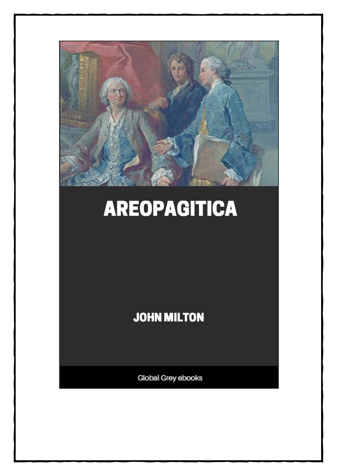

## **AREOPAGITICA**

**JOHN MILTON** 

Global Grey ebooks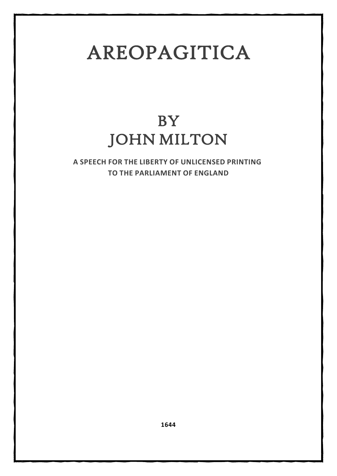## AREOPAGITICA

## **BY** JOHN MILTON

**A SPEECH FOR THE LIBERTY OF UNLICENSED PRINTING TO THE PARLIAMENT OF ENGLAND**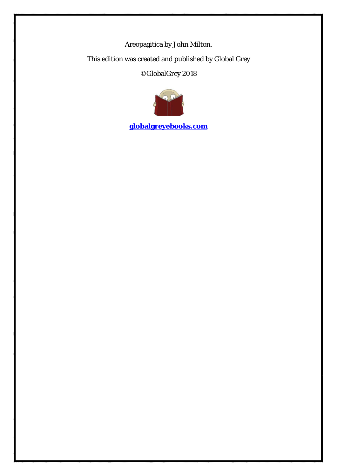Areopagitica by John Milton.

This edition was created and published by Global Grey

©GlobalGrey 2018



**[globalgreyebooks.com](https://www.globalgreyebooks.com/)**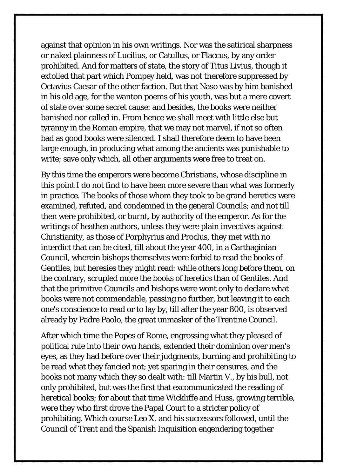against that opinion in his own writings. Nor was the satirical sharpness or naked plainness of Lucilius, or Catullus, or Flaccus, by any order prohibited. And for matters of state, the story of Titus Livius, though it extolled that part which Pompey held, was not therefore suppressed by Octavius Caesar of the other faction. But that Naso was by him banished in his old age, for the wanton poems of his youth, was but a mere covert of state over some secret cause: and besides, the books were neither banished nor called in. From hence we shall meet with little else but tyranny in the Roman empire, that we may not marvel, if not so often bad as good books were silenced. I shall therefore deem to have been large enough, in producing what among the ancients was punishable to write; save only which, all other arguments were free to treat on.

By this time the emperors were become Christians, whose discipline in this point I do not find to have been more severe than what was formerly in practice. The books of those whom they took to be grand heretics were examined, refuted, and condemned in the general Councils; and not till then were prohibited, or burnt, by authority of the emperor. As for the writings of heathen authors, unless they were plain invectives against Christianity, as those of Porphyrius and Proclus, they met with no interdict that can be cited, till about the year 400, in a Carthaginian Council, wherein bishops themselves were forbid to read the books of Gentiles, but heresies they might read: while others long before them, on the contrary, scrupled more the books of heretics than of Gentiles. And that the primitive Councils and bishops were wont only to declare what books were not commendable, passing no further, but leaving it to each one's conscience to read or to lay by, till after the year 800, is observed already by Padre Paolo, the great unmasker of the Trentine Council.

After which time the Popes of Rome, engrossing what they pleased of political rule into their own hands, extended their dominion over men's eyes, as they had before over their judgments, burning and prohibiting to be read what they fancied not; yet sparing in their censures, and the books not many which they so dealt with: till Martin V., by his bull, not only prohibited, but was the first that excommunicated the reading of heretical books; for about that time Wickliffe and Huss, growing terrible, were they who first drove the Papal Court to a stricter policy of prohibiting. Which course Leo X. and his successors followed, until the Council of Trent and the Spanish Inquisition engendering together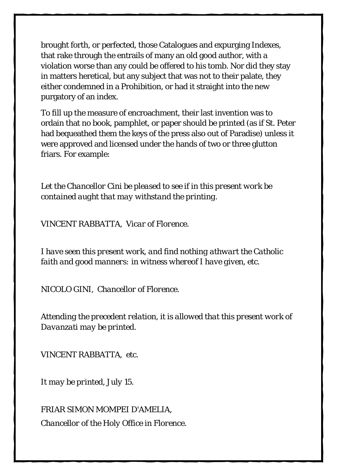brought forth, or perfected, those Catalogues and expurging Indexes, that rake through the entrails of many an old good author, with a violation worse than any could be offered to his tomb. Nor did they stay in matters heretical, but any subject that was not to their palate, they either condemned in a Prohibition, or had it straight into the new purgatory of an index.

To fill up the measure of encroachment, their last invention was to ordain that no book, pamphlet, or paper should be printed (as if St. Peter had bequeathed them the keys of the press also out of Paradise) unless it were approved and licensed under the hands of two or three glutton friars. For example:

*Let the Chancellor Cini be pleased to see if in this present work be contained aught that may withstand the printing.*

*VINCENT RABBATTA, Vicar of Florence.*

*I have seen this present work, and find nothing athwart the Catholic faith and good manners: in witness whereof I have given, etc.*

*NICOLO GINI, Chancellor of Florence.*

*Attending the precedent relation, it is allowed that this present work of Davanzati may be printed.*

*VINCENT RABBATTA, etc.*

*It may be printed, July 15.*

*FRIAR SIMON MOMPEI D'AMELIA, Chancellor of the Holy Office in Florence.*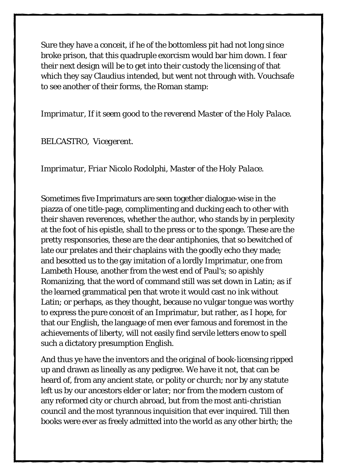Sure they have a conceit, if he of the bottomless pit had not long since broke prison, that this quadruple exorcism would bar him down. I fear their next design will be to get into their custody the licensing of that which they say Claudius intended, but went not through with. Vouchsafe to see another of their forms, the Roman stamp:

*Imprimatur, If it seem good to the reverend Master of the Holy Palace.*

*BELCASTRO, Vicegerent.*

*Imprimatur, Friar Nicolo Rodolphi, Master of the Holy Palace.*

Sometimes five Imprimaturs are seen together dialogue-wise in the piazza of one title-page, complimenting and ducking each to other with their shaven reverences, whether the author, who stands by in perplexity at the foot of his epistle, shall to the press or to the sponge. These are the pretty responsories, these are the dear antiphonies, that so bewitched of late our prelates and their chaplains with the goodly echo they made; and besotted us to the gay imitation of a lordly Imprimatur, one from Lambeth House, another from the west end of Paul's; so apishly Romanizing, that the word of command still was set down in Latin; as if the learned grammatical pen that wrote it would cast no ink without Latin; or perhaps, as they thought, because no vulgar tongue was worthy to express the pure conceit of an Imprimatur, but rather, as I hope, for that our English, the language of men ever famous and foremost in the achievements of liberty, will not easily find servile letters enow to spell such a dictatory presumption English.

And thus ye have the inventors and the original of book-licensing ripped up and drawn as lineally as any pedigree. We have it not, that can be heard of, from any ancient state, or polity or church; nor by any statute left us by our ancestors elder or later; nor from the modern custom of any reformed city or church abroad, but from the most anti-christian council and the most tyrannous inquisition that ever inquired. Till then books were ever as freely admitted into the world as any other birth; the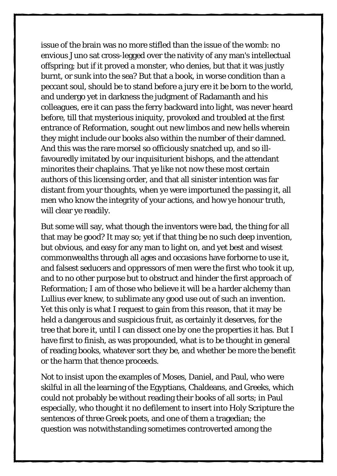issue of the brain was no more stifled than the issue of the womb: no envious Juno sat cross-legged over the nativity of any man's intellectual offspring; but if it proved a monster, who denies, but that it was justly burnt, or sunk into the sea? But that a book, in worse condition than a peccant soul, should be to stand before a jury ere it be born to the world, and undergo yet in darkness the judgment of Radamanth and his colleagues, ere it can pass the ferry backward into light, was never heard before, till that mysterious iniquity, provoked and troubled at the first entrance of Reformation, sought out new limbos and new hells wherein they might include our books also within the number of their damned. And this was the rare morsel so officiously snatched up, and so illfavouredly imitated by our inquisiturient bishops, and the attendant minorites their chaplains. That ye like not now these most certain authors of this licensing order, and that all sinister intention was far distant from your thoughts, when ye were importuned the passing it, all men who know the integrity of your actions, and how ye honour truth, will clear ye readily.

But some will say, what though the inventors were bad, the thing for all that may be good? It may so; yet if that thing be no such deep invention, but obvious, and easy for any man to light on, and yet best and wisest commonwealths through all ages and occasions have forborne to use it, and falsest seducers and oppressors of men were the first who took it up, and to no other purpose but to obstruct and hinder the first approach of Reformation; I am of those who believe it will be a harder alchemy than Lullius ever knew, to sublimate any good use out of such an invention. Yet this only is what I request to gain from this reason, that it may be held a dangerous and suspicious fruit, as certainly it deserves, for the tree that bore it, until I can dissect one by one the properties it has. But I have first to finish, as was propounded, what is to be thought in general of reading books, whatever sort they be, and whether be more the benefit or the harm that thence proceeds.

Not to insist upon the examples of Moses, Daniel, and Paul, who were skilful in all the learning of the Egyptians, Chaldeans, and Greeks, which could not probably be without reading their books of all sorts; in Paul especially, who thought it no defilement to insert into Holy Scripture the sentences of three Greek poets, and one of them a tragedian; the question was notwithstanding sometimes controverted among the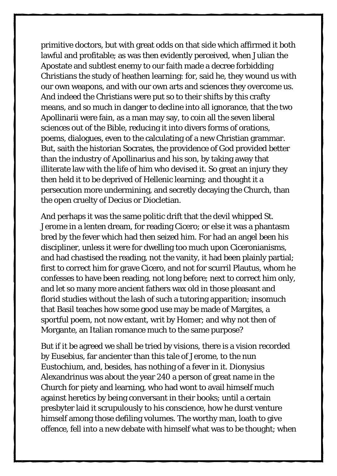primitive doctors, but with great odds on that side which affirmed it both lawful and profitable; as was then evidently perceived, when Julian the Apostate and subtlest enemy to our faith made a decree forbidding Christians the study of heathen learning: for, said he, they wound us with our own weapons, and with our own arts and sciences they overcome us. And indeed the Christians were put so to their shifts by this crafty means, and so much in danger to decline into all ignorance, that the two Apollinarii were fain, as a man may say, to coin all the seven liberal sciences out of the Bible, reducing it into divers forms of orations, poems, dialogues, even to the calculating of a new Christian grammar. But, saith the historian Socrates, the providence of God provided better than the industry of Apollinarius and his son, by taking away that illiterate law with the life of him who devised it. So great an injury they then held it to be deprived of Hellenic learning; and thought it a persecution more undermining, and secretly decaying the Church, than the open cruelty of Decius or Diocletian.

And perhaps it was the same politic drift that the devil whipped St. Jerome in a lenten dream, for reading Cicero; or else it was a phantasm bred by the fever which had then seized him. For had an angel been his discipliner, unless it were for dwelling too much upon Ciceronianisms, and had chastised the reading, not the vanity, it had been plainly partial; first to correct him for grave Cicero, and not for scurril Plautus, whom he confesses to have been reading, not long before; next to correct him only, and let so many more ancient fathers wax old in those pleasant and florid studies without the lash of such a tutoring apparition; insomuch that Basil teaches how some good use may be made of Margites, a sportful poem, not now extant, writ by Homer; and why not then of Morgante, an Italian romance much to the same purpose?

But if it be agreed we shall be tried by visions, there is a vision recorded by Eusebius, far ancienter than this tale of Jerome, to the nun Eustochium, and, besides, has nothing of a fever in it. Dionysius Alexandrinus was about the year 240 a person of great name in the Church for piety and learning, who had wont to avail himself much against heretics by being conversant in their books; until a certain presbyter laid it scrupulously to his conscience, how he durst venture himself among those defiling volumes. The worthy man, loath to give offence, fell into a new debate with himself what was to be thought; when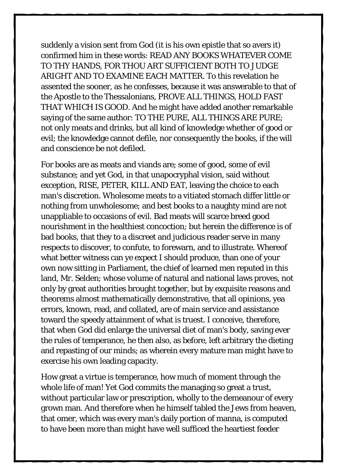suddenly a vision sent from God (it is his own epistle that so avers it) confirmed him in these words: READ ANY BOOKS WHATEVER COME TO THY HANDS, FOR THOU ART SUFFICIENT BOTH TO JUDGE ARIGHT AND TO EXAMINE EACH MATTER. To this revelation he assented the sooner, as he confesses, because it was answerable to that of the Apostle to the Thessalonians, PROVE ALL THINGS, HOLD FAST THAT WHICH IS GOOD. And he might have added another remarkable saying of the same author: TO THE PURE, ALL THINGS ARE PURE; not only meats and drinks, but all kind of knowledge whether of good or evil; the knowledge cannot defile, nor consequently the books, if the will and conscience be not defiled.

For books are as meats and viands are; some of good, some of evil substance; and yet God, in that unapocryphal vision, said without exception, RISE, PETER, KILL AND EAT, leaving the choice to each man's discretion. Wholesome meats to a vitiated stomach differ little or nothing from unwholesome; and best books to a naughty mind are not unappliable to occasions of evil. Bad meats will scarce breed good nourishment in the healthiest concoction; but herein the difference is of bad books, that they to a discreet and judicious reader serve in many respects to discover, to confute, to forewarn, and to illustrate. Whereof what better witness can ye expect I should produce, than one of your own now sitting in Parliament, the chief of learned men reputed in this land, Mr. Selden; whose volume of natural and national laws proves, not only by great authorities brought together, but by exquisite reasons and theorems almost mathematically demonstrative, that all opinions, yea errors, known, read, and collated, are of main service and assistance toward the speedy attainment of what is truest. I conceive, therefore, that when God did enlarge the universal diet of man's body, saving ever the rules of temperance, he then also, as before, left arbitrary the dieting and repasting of our minds; as wherein every mature man might have to exercise his own leading capacity.

How great a virtue is temperance, how much of moment through the whole life of man! Yet God commits the managing so great a trust, without particular law or prescription, wholly to the demeanour of every grown man. And therefore when he himself tabled the Jews from heaven, that omer, which was every man's daily portion of manna, is computed to have been more than might have well sufficed the heartiest feeder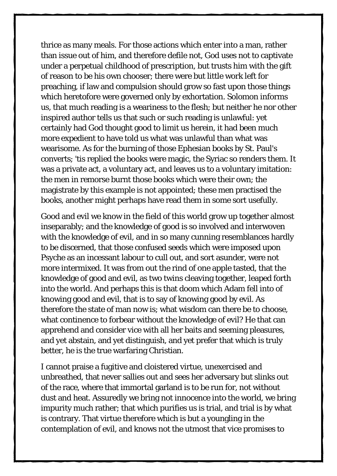thrice as many meals. For those actions which enter into a man, rather than issue out of him, and therefore defile not, God uses not to captivate under a perpetual childhood of prescription, but trusts him with the gift of reason to be his own chooser; there were but little work left for preaching, if law and compulsion should grow so fast upon those things which heretofore were governed only by exhortation. Solomon informs us, that much reading is a weariness to the flesh; but neither he nor other inspired author tells us that such or such reading is unlawful: yet certainly had God thought good to limit us herein, it had been much more expedient to have told us what was unlawful than what was wearisome. As for the burning of those Ephesian books by St. Paul's converts; 'tis replied the books were magic, the Syriac so renders them. It was a private act, a voluntary act, and leaves us to a voluntary imitation: the men in remorse burnt those books which were their own; the magistrate by this example is not appointed; these men practised the books, another might perhaps have read them in some sort usefully.

Good and evil we know in the field of this world grow up together almost inseparably; and the knowledge of good is so involved and interwoven with the knowledge of evil, and in so many cunning resemblances hardly to be discerned, that those confused seeds which were imposed upon Psyche as an incessant labour to cull out, and sort asunder, were not more intermixed. It was from out the rind of one apple tasted, that the knowledge of good and evil, as two twins cleaving together, leaped forth into the world. And perhaps this is that doom which Adam fell into of knowing good and evil, that is to say of knowing good by evil. As therefore the state of man now is; what wisdom can there be to choose, what continence to forbear without the knowledge of evil? He that can apprehend and consider vice with all her baits and seeming pleasures, and yet abstain, and yet distinguish, and yet prefer that which is truly better, he is the true warfaring Christian.

I cannot praise a fugitive and cloistered virtue, unexercised and unbreathed, that never sallies out and sees her adversary but slinks out of the race, where that immortal garland is to be run for, not without dust and heat. Assuredly we bring not innocence into the world, we bring impurity much rather; that which purifies us is trial, and trial is by what is contrary. That virtue therefore which is but a youngling in the contemplation of evil, and knows not the utmost that vice promises to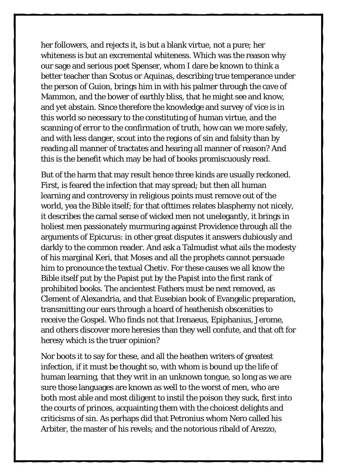her followers, and rejects it, is but a blank virtue, not a pure; her whiteness is but an excremental whiteness. Which was the reason why our sage and serious poet Spenser, whom I dare be known to think a better teacher than Scotus or Aquinas, describing true temperance under the person of Guion, brings him in with his palmer through the cave of Mammon, and the bower of earthly bliss, that he might see and know, and yet abstain. Since therefore the knowledge and survey of vice is in this world so necessary to the constituting of human virtue, and the scanning of error to the confirmation of truth, how can we more safely, and with less danger, scout into the regions of sin and falsity than by reading all manner of tractates and hearing all manner of reason? And this is the benefit which may be had of books promiscuously read.

But of the harm that may result hence three kinds are usually reckoned. First, is feared the infection that may spread; but then all human learning and controversy in religious points must remove out of the world, yea the Bible itself; for that ofttimes relates blasphemy not nicely, it describes the carnal sense of wicked men not unelegantly, it brings in holiest men passionately murmuring against Providence through all the arguments of Epicurus: in other great disputes it answers dubiously and darkly to the common reader. And ask a Talmudist what ails the modesty of his marginal Keri, that Moses and all the prophets cannot persuade him to pronounce the textual Chetiv. For these causes we all know the Bible itself put by the Papist put by the Papist into the first rank of prohibited books. The ancientest Fathers must be next removed, as Clement of Alexandria, and that Eusebian book of Evangelic preparation, transmitting our ears through a hoard of heathenish obscenities to receive the Gospel. Who finds not that Irenaeus, Epiphanius, Jerome, and others discover more heresies than they well confute, and that oft for heresy which is the truer opinion?

Nor boots it to say for these, and all the heathen writers of greatest infection, if it must be thought so, with whom is bound up the life of human learning, that they writ in an unknown tongue, so long as we are sure those languages are known as well to the worst of men, who are both most able and most diligent to instil the poison they suck, first into the courts of princes, acquainting them with the choicest delights and criticisms of sin. As perhaps did that Petronius whom Nero called his Arbiter, the master of his revels; and the notorious ribald of Arezzo,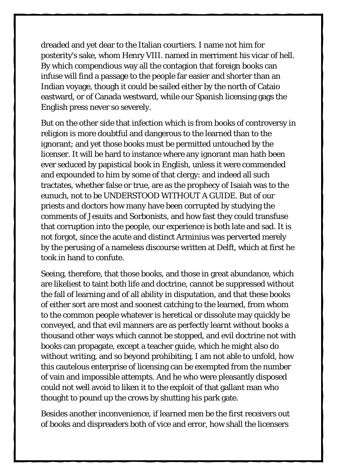dreaded and yet dear to the Italian courtiers. I name not him for posterity's sake, whom Henry VIII. named in merriment his vicar of hell. By which compendious way all the contagion that foreign books can infuse will find a passage to the people far easier and shorter than an Indian voyage, though it could be sailed either by the north of Cataio eastward, or of Canada westward, while our Spanish licensing gags the English press never so severely.

But on the other side that infection which is from books of controversy in religion is more doubtful and dangerous to the learned than to the ignorant; and yet those books must be permitted untouched by the licenser. It will be hard to instance where any ignorant man hath been ever seduced by papistical book in English, unless it were commended and expounded to him by some of that clergy: and indeed all such tractates, whether false or true, are as the prophecy of Isaiah was to the eunuch, not to be UNDERSTOOD WITHOUT A GUIDE. But of our priests and doctors how many have been corrupted by studying the comments of Jesuits and Sorbonists, and how fast they could transfuse that corruption into the people, our experience is both late and sad. It is not forgot, since the acute and distinct Arminius was perverted merely by the perusing of a nameless discourse written at Delft, which at first he took in hand to confute.

Seeing, therefore, that those books, and those in great abundance, which are likeliest to taint both life and doctrine, cannot be suppressed without the fall of learning and of all ability in disputation, and that these books of either sort are most and soonest catching to the learned, from whom to the common people whatever is heretical or dissolute may quickly be conveyed, and that evil manners are as perfectly learnt without books a thousand other ways which cannot be stopped, and evil doctrine not with books can propagate, except a teacher guide, which he might also do without writing, and so beyond prohibiting, I am not able to unfold, how this cautelous enterprise of licensing can be exempted from the number of vain and impossible attempts. And he who were pleasantly disposed could not well avoid to liken it to the exploit of that gallant man who thought to pound up the crows by shutting his park gate.

Besides another inconvenience, if learned men be the first receivers out of books and dispreaders both of vice and error, how shall the licensers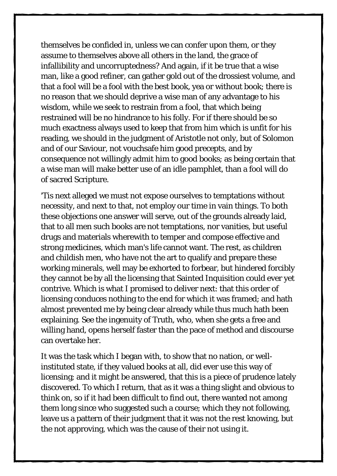themselves be confided in, unless we can confer upon them, or they assume to themselves above all others in the land, the grace of infallibility and uncorruptedness? And again, if it be true that a wise man, like a good refiner, can gather gold out of the drossiest volume, and that a fool will be a fool with the best book, yea or without book; there is no reason that we should deprive a wise man of any advantage to his wisdom, while we seek to restrain from a fool, that which being restrained will be no hindrance to his folly. For if there should be so much exactness always used to keep that from him which is unfit for his reading, we should in the judgment of Aristotle not only, but of Solomon and of our Saviour, not vouchsafe him good precepts, and by consequence not willingly admit him to good books; as being certain that a wise man will make better use of an idle pamphlet, than a fool will do of sacred Scripture.

'Tis next alleged we must not expose ourselves to temptations without necessity, and next to that, not employ our time in vain things. To both these objections one answer will serve, out of the grounds already laid, that to all men such books are not temptations, nor vanities, but useful drugs and materials wherewith to temper and compose effective and strong medicines, which man's life cannot want. The rest, as children and childish men, who have not the art to qualify and prepare these working minerals, well may be exhorted to forbear, but hindered forcibly they cannot be by all the licensing that Sainted Inquisition could ever yet contrive. Which is what I promised to deliver next: that this order of licensing conduces nothing to the end for which it was framed; and hath almost prevented me by being clear already while thus much hath been explaining. See the ingenuity of Truth, who, when she gets a free and willing hand, opens herself faster than the pace of method and discourse can overtake her.

It was the task which I began with, to show that no nation, or wellinstituted state, if they valued books at all, did ever use this way of licensing; and it might be answered, that this is a piece of prudence lately discovered. To which I return, that as it was a thing slight and obvious to think on, so if it had been difficult to find out, there wanted not among them long since who suggested such a course; which they not following, leave us a pattern of their judgment that it was not the rest knowing, but the not approving, which was the cause of their not using it.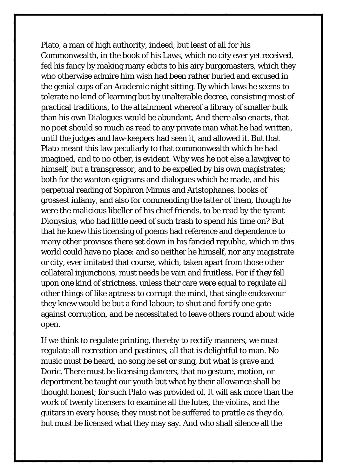Plato, a man of high authority, indeed, but least of all for his Commonwealth, in the book of his Laws, which no city ever yet received, fed his fancy by making many edicts to his airy burgomasters, which they who otherwise admire him wish had been rather buried and excused in the genial cups of an Academic night sitting. By which laws he seems to tolerate no kind of learning but by unalterable decree, consisting most of practical traditions, to the attainment whereof a library of smaller bulk than his own Dialogues would be abundant. And there also enacts, that no poet should so much as read to any private man what he had written, until the judges and law-keepers had seen it, and allowed it. But that Plato meant this law peculiarly to that commonwealth which he had imagined, and to no other, is evident. Why was he not else a lawgiver to himself, but a transgressor, and to be expelled by his own magistrates; both for the wanton epigrams and dialogues which he made, and his perpetual reading of Sophron Mimus and Aristophanes, books of grossest infamy, and also for commending the latter of them, though he were the malicious libeller of his chief friends, to be read by the tyrant Dionysius, who had little need of such trash to spend his time on? But that he knew this licensing of poems had reference and dependence to many other provisos there set down in his fancied republic, which in this world could have no place: and so neither he himself, nor any magistrate or city, ever imitated that course, which, taken apart from those other collateral injunctions, must needs be vain and fruitless. For if they fell upon one kind of strictness, unless their care were equal to regulate all other things of like aptness to corrupt the mind, that single endeavour they knew would be but a fond labour; to shut and fortify one gate against corruption, and be necessitated to leave others round about wide open.

If we think to regulate printing, thereby to rectify manners, we must regulate all recreation and pastimes, all that is delightful to man. No music must be heard, no song be set or sung, but what is grave and Doric. There must be licensing dancers, that no gesture, motion, or deportment be taught our youth but what by their allowance shall be thought honest; for such Plato was provided of. It will ask more than the work of twenty licensers to examine all the lutes, the violins, and the guitars in every house; they must not be suffered to prattle as they do, but must be licensed what they may say. And who shall silence all the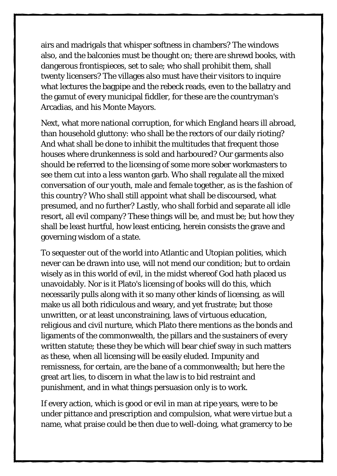airs and madrigals that whisper softness in chambers? The windows also, and the balconies must be thought on; there are shrewd books, with dangerous frontispieces, set to sale; who shall prohibit them, shall twenty licensers? The villages also must have their visitors to inquire what lectures the bagpipe and the rebeck reads, even to the ballatry and the gamut of every municipal fiddler, for these are the countryman's Arcadias, and his Monte Mayors.

Next, what more national corruption, for which England hears ill abroad, than household gluttony: who shall be the rectors of our daily rioting? And what shall be done to inhibit the multitudes that frequent those houses where drunkenness is sold and harboured? Our garments also should be referred to the licensing of some more sober workmasters to see them cut into a less wanton garb. Who shall regulate all the mixed conversation of our youth, male and female together, as is the fashion of this country? Who shall still appoint what shall be discoursed, what presumed, and no further? Lastly, who shall forbid and separate all idle resort, all evil company? These things will be, and must be; but how they shall be least hurtful, how least enticing, herein consists the grave and governing wisdom of a state.

To sequester out of the world into Atlantic and Utopian polities, which never can be drawn into use, will not mend our condition; but to ordain wisely as in this world of evil, in the midst whereof God hath placed us unavoidably. Nor is it Plato's licensing of books will do this, which necessarily pulls along with it so many other kinds of licensing, as will make us all both ridiculous and weary, and yet frustrate; but those unwritten, or at least unconstraining, laws of virtuous education, religious and civil nurture, which Plato there mentions as the bonds and ligaments of the commonwealth, the pillars and the sustainers of every written statute; these they be which will bear chief sway in such matters as these, when all licensing will be easily eluded. Impunity and remissness, for certain, are the bane of a commonwealth; but here the great art lies, to discern in what the law is to bid restraint and punishment, and in what things persuasion only is to work.

If every action, which is good or evil in man at ripe years, were to be under pittance and prescription and compulsion, what were virtue but a name, what praise could be then due to well-doing, what gramercy to be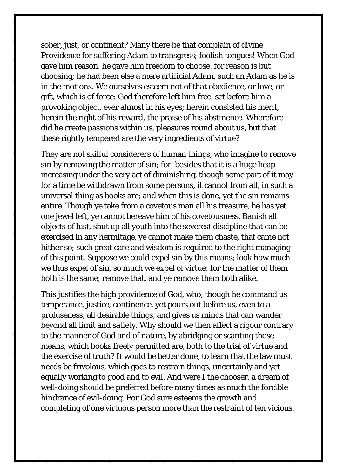sober, just, or continent? Many there be that complain of divine Providence for suffering Adam to transgress; foolish tongues! When God gave him reason, he gave him freedom to choose, for reason is but choosing; he had been else a mere artificial Adam, such an Adam as he is in the motions. We ourselves esteem not of that obedience, or love, or gift, which is of force: God therefore left him free, set before him a provoking object, ever almost in his eyes; herein consisted his merit, herein the right of his reward, the praise of his abstinence. Wherefore did he create passions within us, pleasures round about us, but that these rightly tempered are the very ingredients of virtue?

They are not skilful considerers of human things, who imagine to remove sin by removing the matter of sin; for, besides that it is a huge heap increasing under the very act of diminishing, though some part of it may for a time be withdrawn from some persons, it cannot from all, in such a universal thing as books are; and when this is done, yet the sin remains entire. Though ye take from a covetous man all his treasure, he has yet one jewel left, ye cannot bereave him of his covetousness. Banish all objects of lust, shut up all youth into the severest discipline that can be exercised in any hermitage, ye cannot make them chaste, that came not hither so; such great care and wisdom is required to the right managing of this point. Suppose we could expel sin by this means; look how much we thus expel of sin, so much we expel of virtue: for the matter of them both is the same; remove that, and ye remove them both alike.

This justifies the high providence of God, who, though he command us temperance, justice, continence, yet pours out before us, even to a profuseness, all desirable things, and gives us minds that can wander beyond all limit and satiety. Why should we then affect a rigour contrary to the manner of God and of nature, by abridging or scanting those means, which books freely permitted are, both to the trial of virtue and the exercise of truth? It would be better done, to learn that the law must needs be frivolous, which goes to restrain things, uncertainly and yet equally working to good and to evil. And were I the chooser, a dream of well-doing should be preferred before many times as much the forcible hindrance of evil-doing. For God sure esteems the growth and completing of one virtuous person more than the restraint of ten vicious.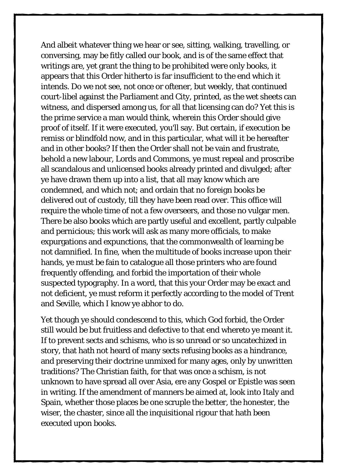And albeit whatever thing we hear or see, sitting, walking, travelling, or conversing, may be fitly called our book, and is of the same effect that writings are, yet grant the thing to be prohibited were only books, it appears that this Order hitherto is far insufficient to the end which it intends. Do we not see, not once or oftener, but weekly, that continued court-libel against the Parliament and City, printed, as the wet sheets can witness, and dispersed among us, for all that licensing can do? Yet this is the prime service a man would think, wherein this Order should give proof of itself. If it were executed, you'll say. But certain, if execution be remiss or blindfold now, and in this particular, what will it be hereafter and in other books? If then the Order shall not be vain and frustrate, behold a new labour, Lords and Commons, ye must repeal and proscribe all scandalous and unlicensed books already printed and divulged; after ye have drawn them up into a list, that all may know which are condemned, and which not; and ordain that no foreign books be delivered out of custody, till they have been read over. This office will require the whole time of not a few overseers, and those no vulgar men. There be also books which are partly useful and excellent, partly culpable and pernicious; this work will ask as many more officials, to make expurgations and expunctions, that the commonwealth of learning be not damnified. In fine, when the multitude of books increase upon their hands, ye must be fain to catalogue all those printers who are found frequently offending, and forbid the importation of their whole suspected typography. In a word, that this your Order may be exact and not deficient, ye must reform it perfectly according to the model of Trent and Seville, which I know ye abhor to do.

Yet though ye should condescend to this, which God forbid, the Order still would be but fruitless and defective to that end whereto ye meant it. If to prevent sects and schisms, who is so unread or so uncatechized in story, that hath not heard of many sects refusing books as a hindrance, and preserving their doctrine unmixed for many ages, only by unwritten traditions? The Christian faith, for that was once a schism, is not unknown to have spread all over Asia, ere any Gospel or Epistle was seen in writing. If the amendment of manners be aimed at, look into Italy and Spain, whether those places be one scruple the better, the honester, the wiser, the chaster, since all the inquisitional rigour that hath been executed upon books.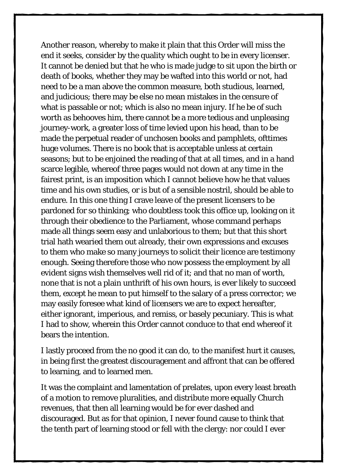Another reason, whereby to make it plain that this Order will miss the end it seeks, consider by the quality which ought to be in every licenser. It cannot be denied but that he who is made judge to sit upon the birth or death of books, whether they may be wafted into this world or not, had need to be a man above the common measure, both studious, learned, and judicious; there may be else no mean mistakes in the censure of what is passable or not; which is also no mean injury. If he be of such worth as behooves him, there cannot be a more tedious and unpleasing journey-work, a greater loss of time levied upon his head, than to be made the perpetual reader of unchosen books and pamphlets, ofttimes huge volumes. There is no book that is acceptable unless at certain seasons; but to be enjoined the reading of that at all times, and in a hand scarce legible, whereof three pages would not down at any time in the fairest print, is an imposition which I cannot believe how he that values time and his own studies, or is but of a sensible nostril, should be able to endure. In this one thing I crave leave of the present licensers to be pardoned for so thinking; who doubtless took this office up, looking on it through their obedience to the Parliament, whose command perhaps made all things seem easy and unlaborious to them; but that this short trial hath wearied them out already, their own expressions and excuses to them who make so many journeys to solicit their licence are testimony enough. Seeing therefore those who now possess the employment by all evident signs wish themselves well rid of it; and that no man of worth, none that is not a plain unthrift of his own hours, is ever likely to succeed them, except he mean to put himself to the salary of a press corrector; we may easily foresee what kind of licensers we are to expect hereafter, either ignorant, imperious, and remiss, or basely pecuniary. This is what I had to show, wherein this Order cannot conduce to that end whereof it bears the intention.

I lastly proceed from the no good it can do, to the manifest hurt it causes, in being first the greatest discouragement and affront that can be offered to learning, and to learned men.

It was the complaint and lamentation of prelates, upon every least breath of a motion to remove pluralities, and distribute more equally Church revenues, that then all learning would be for ever dashed and discouraged. But as for that opinion, I never found cause to think that the tenth part of learning stood or fell with the clergy: nor could I ever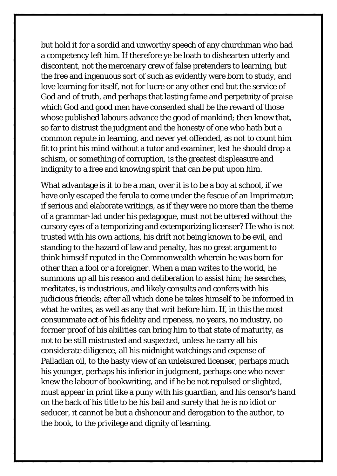but hold it for a sordid and unworthy speech of any churchman who had a competency left him. If therefore ye be loath to dishearten utterly and discontent, not the mercenary crew of false pretenders to learning, but the free and ingenuous sort of such as evidently were born to study, and love learning for itself, not for lucre or any other end but the service of God and of truth, and perhaps that lasting fame and perpetuity of praise which God and good men have consented shall be the reward of those whose published labours advance the good of mankind; then know that, so far to distrust the judgment and the honesty of one who hath but a common repute in learning, and never yet offended, as not to count him fit to print his mind without a tutor and examiner, lest he should drop a schism, or something of corruption, is the greatest displeasure and indignity to a free and knowing spirit that can be put upon him.

What advantage is it to be a man, over it is to be a boy at school, if we have only escaped the ferula to come under the fescue of an Imprimatur; if serious and elaborate writings, as if they were no more than the theme of a grammar-lad under his pedagogue, must not be uttered without the cursory eyes of a temporizing and extemporizing licenser? He who is not trusted with his own actions, his drift not being known to be evil, and standing to the hazard of law and penalty, has no great argument to think himself reputed in the Commonwealth wherein he was born for other than a fool or a foreigner. When a man writes to the world, he summons up all his reason and deliberation to assist him; he searches, meditates, is industrious, and likely consults and confers with his judicious friends; after all which done he takes himself to be informed in what he writes, as well as any that writ before him. If, in this the most consummate act of his fidelity and ripeness, no years, no industry, no former proof of his abilities can bring him to that state of maturity, as not to be still mistrusted and suspected, unless he carry all his considerate diligence, all his midnight watchings and expense of Palladian oil, to the hasty view of an unleisured licenser, perhaps much his younger, perhaps his inferior in judgment, perhaps one who never knew the labour of bookwriting, and if he be not repulsed or slighted, must appear in print like a puny with his guardian, and his censor's hand on the back of his title to be his bail and surety that he is no idiot or seducer, it cannot be but a dishonour and derogation to the author, to the book, to the privilege and dignity of learning.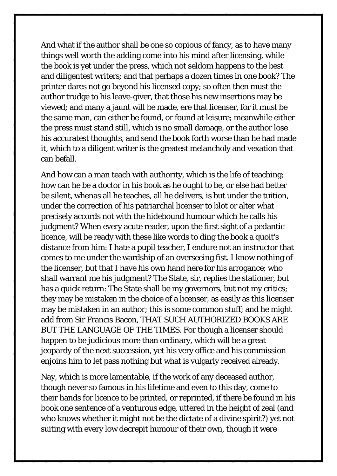And what if the author shall be one so copious of fancy, as to have many things well worth the adding come into his mind after licensing, while the book is yet under the press, which not seldom happens to the best and diligentest writers; and that perhaps a dozen times in one book? The printer dares not go beyond his licensed copy; so often then must the author trudge to his leave-giver, that those his new insertions may be viewed; and many a jaunt will be made, ere that licenser, for it must be the same man, can either be found, or found at leisure; meanwhile either the press must stand still, which is no small damage, or the author lose his accuratest thoughts, and send the book forth worse than he had made it, which to a diligent writer is the greatest melancholy and vexation that can befall.

And how can a man teach with authority, which is the life of teaching; how can he be a doctor in his book as he ought to be, or else had better be silent, whenas all he teaches, all he delivers, is but under the tuition, under the correction of his patriarchal licenser to blot or alter what precisely accords not with the hidebound humour which he calls his judgment? When every acute reader, upon the first sight of a pedantic licence, will be ready with these like words to ding the book a quoit's distance from him: I hate a pupil teacher, I endure not an instructor that comes to me under the wardship of an overseeing fist. I know nothing of the licenser, but that I have his own hand here for his arrogance; who shall warrant me his judgment? The State, sir, replies the stationer, but has a quick return: The State shall be my governors, but not my critics; they may be mistaken in the choice of a licenser, as easily as this licenser may be mistaken in an author; this is some common stuff; and he might add from Sir Francis Bacon, THAT SUCH AUTHORIZED BOOKS ARE BUT THE LANGUAGE OF THE TIMES. For though a licenser should happen to be judicious more than ordinary, which will be a great jeopardy of the next succession, yet his very office and his commission enjoins him to let pass nothing but what is vulgarly received already.

Nay, which is more lamentable, if the work of any deceased author, though never so famous in his lifetime and even to this day, come to their hands for licence to be printed, or reprinted, if there be found in his book one sentence of a venturous edge, uttered in the height of zeal (and who knows whether it might not be the dictate of a divine spirit?) yet not suiting with every low decrepit humour of their own, though it were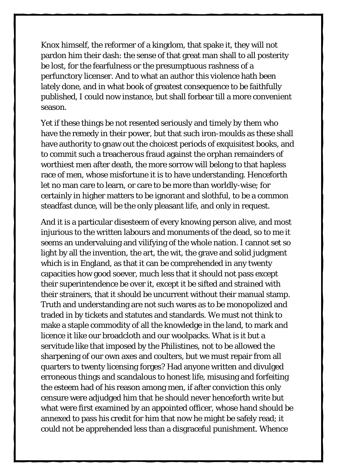Knox himself, the reformer of a kingdom, that spake it, they will not pardon him their dash: the sense of that great man shall to all posterity be lost, for the fearfulness or the presumptuous rashness of a perfunctory licenser. And to what an author this violence hath been lately done, and in what book of greatest consequence to be faithfully published, I could now instance, but shall forbear till a more convenient season.

Yet if these things be not resented seriously and timely by them who have the remedy in their power, but that such iron-moulds as these shall have authority to gnaw out the choicest periods of exquisitest books, and to commit such a treacherous fraud against the orphan remainders of worthiest men after death, the more sorrow will belong to that hapless race of men, whose misfortune it is to have understanding. Henceforth let no man care to learn, or care to be more than worldly-wise; for certainly in higher matters to be ignorant and slothful, to be a common steadfast dunce, will be the only pleasant life, and only in request.

And it is a particular disesteem of every knowing person alive, and most injurious to the written labours and monuments of the dead, so to me it seems an undervaluing and vilifying of the whole nation. I cannot set so light by all the invention, the art, the wit, the grave and solid judgment which is in England, as that it can be comprehended in any twenty capacities how good soever, much less that it should not pass except their superintendence be over it, except it be sifted and strained with their strainers, that it should be uncurrent without their manual stamp. Truth and understanding are not such wares as to be monopolized and traded in by tickets and statutes and standards. We must not think to make a staple commodity of all the knowledge in the land, to mark and licence it like our broadcloth and our woolpacks. What is it but a servitude like that imposed by the Philistines, not to be allowed the sharpening of our own axes and coulters, but we must repair from all quarters to twenty licensing forges? Had anyone written and divulged erroneous things and scandalous to honest life, misusing and forfeiting the esteem had of his reason among men, if after conviction this only censure were adjudged him that he should never henceforth write but what were first examined by an appointed officer, whose hand should be annexed to pass his credit for him that now he might be safely read; it could not be apprehended less than a disgraceful punishment. Whence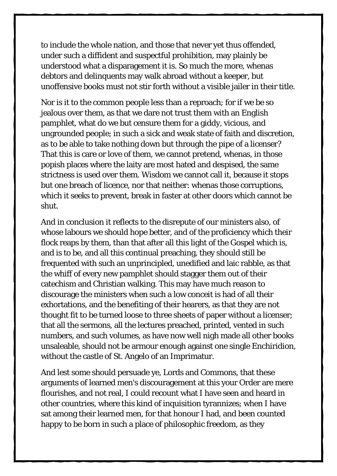to include the whole nation, and those that never yet thus offended, under such a diffident and suspectful prohibition, may plainly be understood what a disparagement it is. So much the more, whenas debtors and delinquents may walk abroad without a keeper, but unoffensive books must not stir forth without a visible jailer in their title.

Nor is it to the common people less than a reproach; for if we be so jealous over them, as that we dare not trust them with an English pamphlet, what do we but censure them for a giddy, vicious, and ungrounded people; in such a sick and weak state of faith and discretion, as to be able to take nothing down but through the pipe of a licenser? That this is care or love of them, we cannot pretend, whenas, in those popish places where the laity are most hated and despised, the same strictness is used over them. Wisdom we cannot call it, because it stops but one breach of licence, nor that neither: whenas those corruptions, which it seeks to prevent, break in faster at other doors which cannot be shut.

And in conclusion it reflects to the disrepute of our ministers also, of whose labours we should hope better, and of the proficiency which their flock reaps by them, than that after all this light of the Gospel which is, and is to be, and all this continual preaching, they should still be frequented with such an unprincipled, unedified and laic rabble, as that the whiff of every new pamphlet should stagger them out of their catechism and Christian walking. This may have much reason to discourage the ministers when such a low conceit is had of all their exhortations, and the benefiting of their hearers, as that they are not thought fit to be turned loose to three sheets of paper without a licenser; that all the sermons, all the lectures preached, printed, vented in such numbers, and such volumes, as have now well nigh made all other books unsaleable, should not be armour enough against one single Enchiridion, without the castle of St. Angelo of an Imprimatur.

And lest some should persuade ye, Lords and Commons, that these arguments of learned men's discouragement at this your Order are mere flourishes, and not real, I could recount what I have seen and heard in other countries, where this kind of inquisition tyrannizes; when I have sat among their learned men, for that honour I had, and been counted happy to be born in such a place of philosophic freedom, as they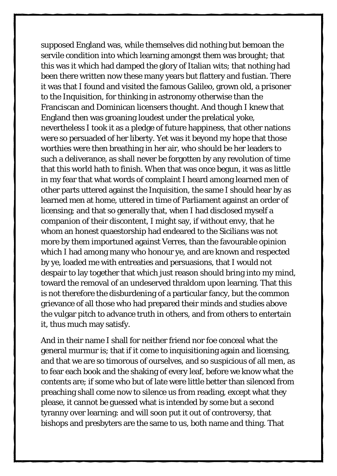supposed England was, while themselves did nothing but bemoan the servile condition into which learning amongst them was brought; that this was it which had damped the glory of Italian wits; that nothing had been there written now these many years but flattery and fustian. There it was that I found and visited the famous Galileo, grown old, a prisoner to the Inquisition, for thinking in astronomy otherwise than the Franciscan and Dominican licensers thought. And though I knew that England then was groaning loudest under the prelatical yoke, nevertheless I took it as a pledge of future happiness, that other nations were so persuaded of her liberty. Yet was it beyond my hope that those worthies were then breathing in her air, who should be her leaders to such a deliverance, as shall never be forgotten by any revolution of time that this world hath to finish. When that was once begun, it was as little in my fear that what words of complaint I heard among learned men of other parts uttered against the Inquisition, the same I should hear by as learned men at home, uttered in time of Parliament against an order of licensing; and that so generally that, when I had disclosed myself a companion of their discontent, I might say, if without envy, that he whom an honest quaestorship had endeared to the Sicilians was not more by them importuned against Verres, than the favourable opinion which I had among many who honour ye, and are known and respected by ye, loaded me with entreaties and persuasions, that I would not despair to lay together that which just reason should bring into my mind, toward the removal of an undeserved thraldom upon learning. That this is not therefore the disburdening of a particular fancy, but the common grievance of all those who had prepared their minds and studies above the vulgar pitch to advance truth in others, and from others to entertain it, thus much may satisfy.

And in their name I shall for neither friend nor foe conceal what the general murmur is; that if it come to inquisitioning again and licensing, and that we are so timorous of ourselves, and so suspicious of all men, as to fear each book and the shaking of every leaf, before we know what the contents are; if some who but of late were little better than silenced from preaching shall come now to silence us from reading, except what they please, it cannot be guessed what is intended by some but a second tyranny over learning: and will soon put it out of controversy, that bishops and presbyters are the same to us, both name and thing. That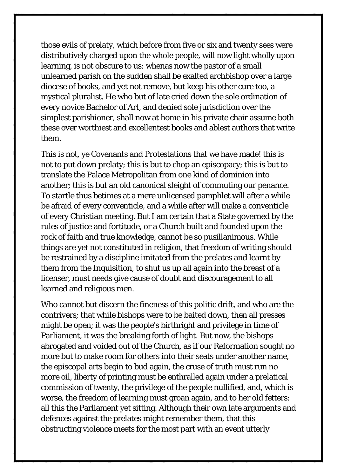those evils of prelaty, which before from five or six and twenty sees were distributively charged upon the whole people, will now light wholly upon learning, is not obscure to us: whenas now the pastor of a small unlearned parish on the sudden shall be exalted archbishop over a large diocese of books, and yet not remove, but keep his other cure too, a mystical pluralist. He who but of late cried down the sole ordination of every novice Bachelor of Art, and denied sole jurisdiction over the simplest parishioner, shall now at home in his private chair assume both these over worthiest and excellentest books and ablest authors that write them.

This is not, ye Covenants and Protestations that we have made! this is not to put down prelaty; this is but to chop an episcopacy; this is but to translate the Palace Metropolitan from one kind of dominion into another; this is but an old canonical sleight of commuting our penance. To startle thus betimes at a mere unlicensed pamphlet will after a while be afraid of every conventicle, and a while after will make a conventicle of every Christian meeting. But I am certain that a State governed by the rules of justice and fortitude, or a Church built and founded upon the rock of faith and true knowledge, cannot be so pusillanimous. While things are yet not constituted in religion, that freedom of writing should be restrained by a discipline imitated from the prelates and learnt by them from the Inquisition, to shut us up all again into the breast of a licenser, must needs give cause of doubt and discouragement to all learned and religious men.

Who cannot but discern the fineness of this politic drift, and who are the contrivers; that while bishops were to be baited down, then all presses might be open; it was the people's birthright and privilege in time of Parliament, it was the breaking forth of light. But now, the bishops abrogated and voided out of the Church, as if our Reformation sought no more but to make room for others into their seats under another name, the episcopal arts begin to bud again, the cruse of truth must run no more oil, liberty of printing must be enthralled again under a prelatical commission of twenty, the privilege of the people nullified, and, which is worse, the freedom of learning must groan again, and to her old fetters: all this the Parliament yet sitting. Although their own late arguments and defences against the prelates might remember them, that this obstructing violence meets for the most part with an event utterly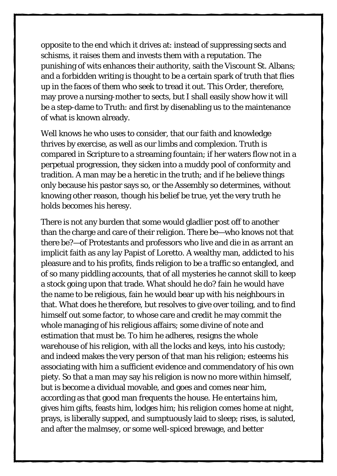opposite to the end which it drives at: instead of suppressing sects and schisms, it raises them and invests them with a reputation. The punishing of wits enhances their authority, saith the Viscount St. Albans; and a forbidden writing is thought to be a certain spark of truth that flies up in the faces of them who seek to tread it out. This Order, therefore, may prove a nursing-mother to sects, but I shall easily show how it will be a step-dame to Truth: and first by disenabling us to the maintenance of what is known already.

Well knows he who uses to consider, that our faith and knowledge thrives by exercise, as well as our limbs and complexion. Truth is compared in Scripture to a streaming fountain; if her waters flow not in a perpetual progression, they sicken into a muddy pool of conformity and tradition. A man may be a heretic in the truth; and if he believe things only because his pastor says so, or the Assembly so determines, without knowing other reason, though his belief be true, yet the very truth he holds becomes his heresy.

There is not any burden that some would gladlier post off to another than the charge and care of their religion. There be—who knows not that there be?—of Protestants and professors who live and die in as arrant an implicit faith as any lay Papist of Loretto. A wealthy man, addicted to his pleasure and to his profits, finds religion to be a traffic so entangled, and of so many piddling accounts, that of all mysteries he cannot skill to keep a stock going upon that trade. What should he do? fain he would have the name to be religious, fain he would bear up with his neighbours in that. What does he therefore, but resolves to give over toiling, and to find himself out some factor, to whose care and credit he may commit the whole managing of his religious affairs; some divine of note and estimation that must be. To him he adheres, resigns the whole warehouse of his religion, with all the locks and keys, into his custody; and indeed makes the very person of that man his religion; esteems his associating with him a sufficient evidence and commendatory of his own piety. So that a man may say his religion is now no more within himself, but is become a dividual movable, and goes and comes near him, according as that good man frequents the house. He entertains him, gives him gifts, feasts him, lodges him; his religion comes home at night, prays, is liberally supped, and sumptuously laid to sleep; rises, is saluted, and after the malmsey, or some well-spiced brewage, and better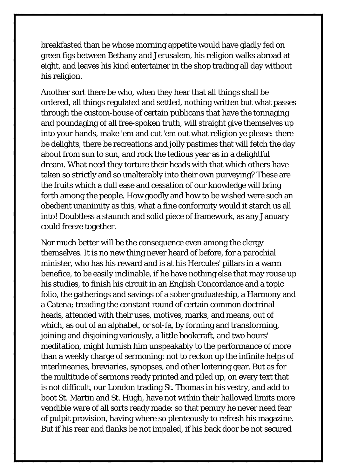breakfasted than he whose morning appetite would have gladly fed on green figs between Bethany and Jerusalem, his religion walks abroad at eight, and leaves his kind entertainer in the shop trading all day without his religion.

Another sort there be who, when they hear that all things shall be ordered, all things regulated and settled, nothing written but what passes through the custom-house of certain publicans that have the tonnaging and poundaging of all free-spoken truth, will straight give themselves up into your hands, make 'em and cut 'em out what religion ye please: there be delights, there be recreations and jolly pastimes that will fetch the day about from sun to sun, and rock the tedious year as in a delightful dream. What need they torture their heads with that which others have taken so strictly and so unalterably into their own purveying? These are the fruits which a dull ease and cessation of our knowledge will bring forth among the people. How goodly and how to be wished were such an obedient unanimity as this, what a fine conformity would it starch us all into! Doubtless a staunch and solid piece of framework, as any January could freeze together.

Nor much better will be the consequence even among the clergy themselves. It is no new thing never heard of before, for a parochial minister, who has his reward and is at his Hercules' pillars in a warm benefice, to be easily inclinable, if he have nothing else that may rouse up his studies, to finish his circuit in an English Concordance and a topic folio, the gatherings and savings of a sober graduateship, a Harmony and a Catena; treading the constant round of certain common doctrinal heads, attended with their uses, motives, marks, and means, out of which, as out of an alphabet, or sol-fa, by forming and transforming, joining and disjoining variously, a little bookcraft, and two hours' meditation, might furnish him unspeakably to the performance of more than a weekly charge of sermoning: not to reckon up the infinite helps of interlinearies, breviaries, synopses, and other loitering gear. But as for the multitude of sermons ready printed and piled up, on every text that is not difficult, our London trading St. Thomas in his vestry, and add to boot St. Martin and St. Hugh, have not within their hallowed limits more vendible ware of all sorts ready made: so that penury he never need fear of pulpit provision, having where so plenteously to refresh his magazine. But if his rear and flanks be not impaled, if his back door be not secured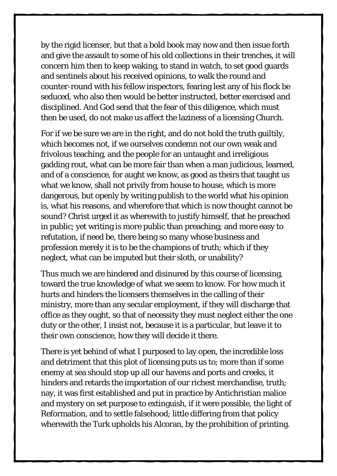by the rigid licenser, but that a bold book may now and then issue forth and give the assault to some of his old collections in their trenches, it will concern him then to keep waking, to stand in watch, to set good guards and sentinels about his received opinions, to walk the round and counter-round with his fellow inspectors, fearing lest any of his flock be seduced, who also then would be better instructed, better exercised and disciplined. And God send that the fear of this diligence, which must then be used, do not make us affect the laziness of a licensing Church.

For if we be sure we are in the right, and do not hold the truth guiltily, which becomes not, if we ourselves condemn not our own weak and frivolous teaching, and the people for an untaught and irreligious gadding rout, what can be more fair than when a man judicious, learned, and of a conscience, for aught we know, as good as theirs that taught us what we know, shall not privily from house to house, which is more dangerous, but openly by writing publish to the world what his opinion is, what his reasons, and wherefore that which is now thought cannot be sound? Christ urged it as wherewith to justify himself, that he preached in public; yet writing is more public than preaching; and more easy to refutation, if need be, there being so many whose business and profession merely it is to be the champions of truth; which if they neglect, what can be imputed but their sloth, or unability?

Thus much we are hindered and disinured by this course of licensing, toward the true knowledge of what we seem to know. For how much it hurts and hinders the licensers themselves in the calling of their ministry, more than any secular employment, if they will discharge that office as they ought, so that of necessity they must neglect either the one duty or the other, I insist not, because it is a particular, but leave it to their own conscience, how they will decide it there.

There is yet behind of what I purposed to lay open, the incredible loss and detriment that this plot of licensing puts us to; more than if some enemy at sea should stop up all our havens and ports and creeks, it hinders and retards the importation of our richest merchandise, truth; nay, it was first established and put in practice by Antichristian malice and mystery on set purpose to extinguish, if it were possible, the light of Reformation, and to settle falsehood; little differing from that policy wherewith the Turk upholds his Alcoran, by the prohibition of printing.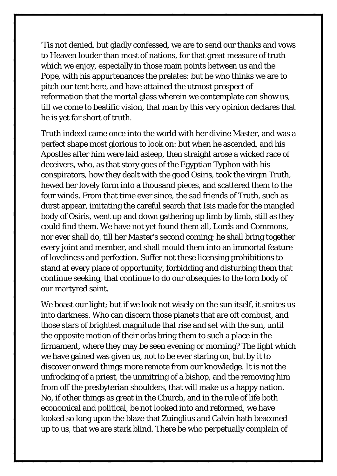'Tis not denied, but gladly confessed, we are to send our thanks and vows to Heaven louder than most of nations, for that great measure of truth which we enjoy, especially in those main points between us and the Pope, with his appurtenances the prelates: but he who thinks we are to pitch our tent here, and have attained the utmost prospect of reformation that the mortal glass wherein we contemplate can show us, till we come to beatific vision, that man by this very opinion declares that he is yet far short of truth.

Truth indeed came once into the world with her divine Master, and was a perfect shape most glorious to look on: but when he ascended, and his Apostles after him were laid asleep, then straight arose a wicked race of deceivers, who, as that story goes of the Egyptian Typhon with his conspirators, how they dealt with the good Osiris, took the virgin Truth, hewed her lovely form into a thousand pieces, and scattered them to the four winds. From that time ever since, the sad friends of Truth, such as durst appear, imitating the careful search that Isis made for the mangled body of Osiris, went up and down gathering up limb by limb, still as they could find them. We have not yet found them all, Lords and Commons, nor ever shall do, till her Master's second coming; he shall bring together every joint and member, and shall mould them into an immortal feature of loveliness and perfection. Suffer not these licensing prohibitions to stand at every place of opportunity, forbidding and disturbing them that continue seeking, that continue to do our obsequies to the torn body of our martyred saint.

We boast our light; but if we look not wisely on the sun itself, it smites us into darkness. Who can discern those planets that are oft combust, and those stars of brightest magnitude that rise and set with the sun, until the opposite motion of their orbs bring them to such a place in the firmament, where they may be seen evening or morning? The light which we have gained was given us, not to be ever staring on, but by it to discover onward things more remote from our knowledge. It is not the unfrocking of a priest, the unmitring of a bishop, and the removing him from off the presbyterian shoulders, that will make us a happy nation. No, if other things as great in the Church, and in the rule of life both economical and political, be not looked into and reformed, we have looked so long upon the blaze that Zuinglius and Calvin hath beaconed up to us, that we are stark blind. There be who perpetually complain of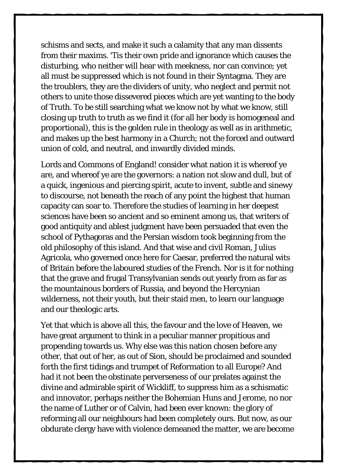schisms and sects, and make it such a calamity that any man dissents from their maxims. 'Tis their own pride and ignorance which causes the disturbing, who neither will hear with meekness, nor can convince; yet all must be suppressed which is not found in their Syntagma. They are the troublers, they are the dividers of unity, who neglect and permit not others to unite those dissevered pieces which are yet wanting to the body of Truth. To be still searching what we know not by what we know, still closing up truth to truth as we find it (for all her body is homogeneal and proportional), this is the golden rule in theology as well as in arithmetic, and makes up the best harmony in a Church; not the forced and outward union of cold, and neutral, and inwardly divided minds.

Lords and Commons of England! consider what nation it is whereof ye are, and whereof ye are the governors: a nation not slow and dull, but of a quick, ingenious and piercing spirit, acute to invent, subtle and sinewy to discourse, not beneath the reach of any point the highest that human capacity can soar to. Therefore the studies of learning in her deepest sciences have been so ancient and so eminent among us, that writers of good antiquity and ablest judgment have been persuaded that even the school of Pythagoras and the Persian wisdom took beginning from the old philosophy of this island. And that wise and civil Roman, Julius Agricola, who governed once here for Caesar, preferred the natural wits of Britain before the laboured studies of the French. Nor is it for nothing that the grave and frugal Transylvanian sends out yearly from as far as the mountainous borders of Russia, and beyond the Hercynian wilderness, not their youth, but their staid men, to learn our language and our theologic arts.

Yet that which is above all this, the favour and the love of Heaven, we have great argument to think in a peculiar manner propitious and propending towards us. Why else was this nation chosen before any other, that out of her, as out of Sion, should be proclaimed and sounded forth the first tidings and trumpet of Reformation to all Europe? And had it not been the obstinate perverseness of our prelates against the divine and admirable spirit of Wickliff, to suppress him as a schismatic and innovator, perhaps neither the Bohemian Huns and Jerome, no nor the name of Luther or of Calvin, had been ever known: the glory of reforming all our neighbours had been completely ours. But now, as our obdurate clergy have with violence demeaned the matter, we are become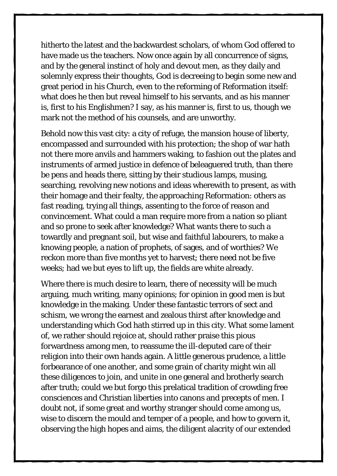hitherto the latest and the backwardest scholars, of whom God offered to have made us the teachers. Now once again by all concurrence of signs, and by the general instinct of holy and devout men, as they daily and solemnly express their thoughts, God is decreeing to begin some new and great period in his Church, even to the reforming of Reformation itself: what does he then but reveal himself to his servants, and as his manner is, first to his Englishmen? I say, as his manner is, first to us, though we mark not the method of his counsels, and are unworthy.

Behold now this vast city: a city of refuge, the mansion house of liberty, encompassed and surrounded with his protection; the shop of war hath not there more anvils and hammers waking, to fashion out the plates and instruments of armed justice in defence of beleaguered truth, than there be pens and heads there, sitting by their studious lamps, musing, searching, revolving new notions and ideas wherewith to present, as with their homage and their fealty, the approaching Reformation: others as fast reading, trying all things, assenting to the force of reason and convincement. What could a man require more from a nation so pliant and so prone to seek after knowledge? What wants there to such a towardly and pregnant soil, but wise and faithful labourers, to make a knowing people, a nation of prophets, of sages, and of worthies? We reckon more than five months yet to harvest; there need not be five weeks; had we but eyes to lift up, the fields are white already.

Where there is much desire to learn, there of necessity will be much arguing, much writing, many opinions; for opinion in good men is but knowledge in the making. Under these fantastic terrors of sect and schism, we wrong the earnest and zealous thirst after knowledge and understanding which God hath stirred up in this city. What some lament of, we rather should rejoice at, should rather praise this pious forwardness among men, to reassume the ill-deputed care of their religion into their own hands again. A little generous prudence, a little forbearance of one another, and some grain of charity might win all these diligences to join, and unite in one general and brotherly search after truth; could we but forgo this prelatical tradition of crowding free consciences and Christian liberties into canons and precepts of men. I doubt not, if some great and worthy stranger should come among us, wise to discern the mould and temper of a people, and how to govern it, observing the high hopes and aims, the diligent alacrity of our extended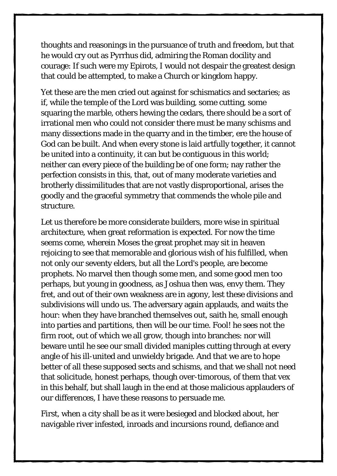thoughts and reasonings in the pursuance of truth and freedom, but that he would cry out as Pyrrhus did, admiring the Roman docility and courage: If such were my Epirots, I would not despair the greatest design that could be attempted, to make a Church or kingdom happy.

Yet these are the men cried out against for schismatics and sectaries; as if, while the temple of the Lord was building, some cutting, some squaring the marble, others hewing the cedars, there should be a sort of irrational men who could not consider there must be many schisms and many dissections made in the quarry and in the timber, ere the house of God can be built. And when every stone is laid artfully together, it cannot be united into a continuity, it can but be contiguous in this world; neither can every piece of the building be of one form; nay rather the perfection consists in this, that, out of many moderate varieties and brotherly dissimilitudes that are not vastly disproportional, arises the goodly and the graceful symmetry that commends the whole pile and structure.

Let us therefore be more considerate builders, more wise in spiritual architecture, when great reformation is expected. For now the time seems come, wherein Moses the great prophet may sit in heaven rejoicing to see that memorable and glorious wish of his fulfilled, when not only our seventy elders, but all the Lord's people, are become prophets. No marvel then though some men, and some good men too perhaps, but young in goodness, as Joshua then was, envy them. They fret, and out of their own weakness are in agony, lest these divisions and subdivisions will undo us. The adversary again applauds, and waits the hour: when they have branched themselves out, saith he, small enough into parties and partitions, then will be our time. Fool! he sees not the firm root, out of which we all grow, though into branches: nor will beware until he see our small divided maniples cutting through at every angle of his ill-united and unwieldy brigade. And that we are to hope better of all these supposed sects and schisms, and that we shall not need that solicitude, honest perhaps, though over-timorous, of them that vex in this behalf, but shall laugh in the end at those malicious applauders of our differences, I have these reasons to persuade me.

First, when a city shall be as it were besieged and blocked about, her navigable river infested, inroads and incursions round, defiance and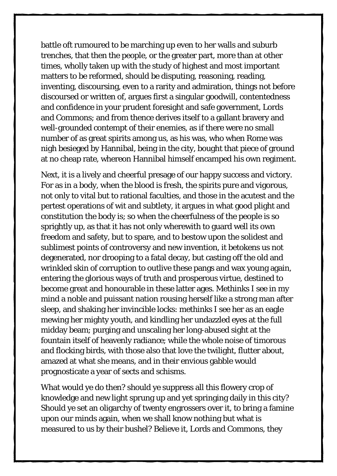battle oft rumoured to be marching up even to her walls and suburb trenches, that then the people, or the greater part, more than at other times, wholly taken up with the study of highest and most important matters to be reformed, should be disputing, reasoning, reading, inventing, discoursing, even to a rarity and admiration, things not before discoursed or written of, argues first a singular goodwill, contentedness and confidence in your prudent foresight and safe government, Lords and Commons; and from thence derives itself to a gallant bravery and well-grounded contempt of their enemies, as if there were no small number of as great spirits among us, as his was, who when Rome was nigh besieged by Hannibal, being in the city, bought that piece of ground at no cheap rate, whereon Hannibal himself encamped his own regiment.

Next, it is a lively and cheerful presage of our happy success and victory. For as in a body, when the blood is fresh, the spirits pure and vigorous, not only to vital but to rational faculties, and those in the acutest and the pertest operations of wit and subtlety, it argues in what good plight and constitution the body is; so when the cheerfulness of the people is so sprightly up, as that it has not only wherewith to guard well its own freedom and safety, but to spare, and to bestow upon the solidest and sublimest points of controversy and new invention, it betokens us not degenerated, nor drooping to a fatal decay, but casting off the old and wrinkled skin of corruption to outlive these pangs and wax young again, entering the glorious ways of truth and prosperous virtue, destined to become great and honourable in these latter ages. Methinks I see in my mind a noble and puissant nation rousing herself like a strong man after sleep, and shaking her invincible locks: methinks I see her as an eagle mewing her mighty youth, and kindling her undazzled eyes at the full midday beam; purging and unscaling her long-abused sight at the fountain itself of heavenly radiance; while the whole noise of timorous and flocking birds, with those also that love the twilight, flutter about, amazed at what she means, and in their envious gabble would prognosticate a year of sects and schisms.

What would ye do then? should ye suppress all this flowery crop of knowledge and new light sprung up and yet springing daily in this city? Should ye set an oligarchy of twenty engrossers over it, to bring a famine upon our minds again, when we shall know nothing but what is measured to us by their bushel? Believe it, Lords and Commons, they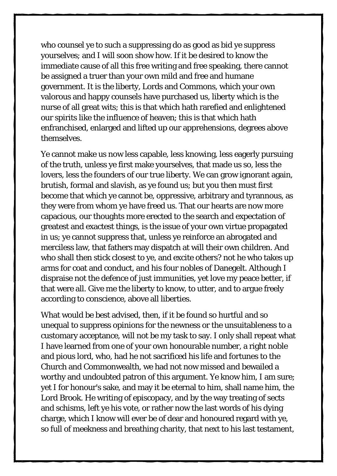who counsel ye to such a suppressing do as good as bid ye suppress yourselves; and I will soon show how. If it be desired to know the immediate cause of all this free writing and free speaking, there cannot be assigned a truer than your own mild and free and humane government. It is the liberty, Lords and Commons, which your own valorous and happy counsels have purchased us, liberty which is the nurse of all great wits; this is that which hath rarefied and enlightened our spirits like the influence of heaven; this is that which hath enfranchised, enlarged and lifted up our apprehensions, degrees above themselves.

Ye cannot make us now less capable, less knowing, less eagerly pursuing of the truth, unless ye first make yourselves, that made us so, less the lovers, less the founders of our true liberty. We can grow ignorant again, brutish, formal and slavish, as ye found us; but you then must first become that which ye cannot be, oppressive, arbitrary and tyrannous, as they were from whom ye have freed us. That our hearts are now more capacious, our thoughts more erected to the search and expectation of greatest and exactest things, is the issue of your own virtue propagated in us; ye cannot suppress that, unless ye reinforce an abrogated and merciless law, that fathers may dispatch at will their own children. And who shall then stick closest to ye, and excite others? not he who takes up arms for coat and conduct, and his four nobles of Danegelt. Although I dispraise not the defence of just immunities, yet love my peace better, if that were all. Give me the liberty to know, to utter, and to argue freely according to conscience, above all liberties.

What would be best advised, then, if it be found so hurtful and so unequal to suppress opinions for the newness or the unsuitableness to a customary acceptance, will not be my task to say. I only shall repeat what I have learned from one of your own honourable number, a right noble and pious lord, who, had he not sacrificed his life and fortunes to the Church and Commonwealth, we had not now missed and bewailed a worthy and undoubted patron of this argument. Ye know him, I am sure; yet I for honour's sake, and may it be eternal to him, shall name him, the Lord Brook. He writing of episcopacy, and by the way treating of sects and schisms, left ye his vote, or rather now the last words of his dying charge, which I know will ever be of dear and honoured regard with ye, so full of meekness and breathing charity, that next to his last testament,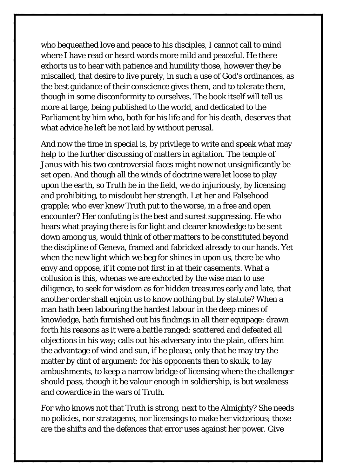who bequeathed love and peace to his disciples, I cannot call to mind where I have read or heard words more mild and peaceful. He there exhorts us to hear with patience and humility those, however they be miscalled, that desire to live purely, in such a use of God's ordinances, as the best guidance of their conscience gives them, and to tolerate them, though in some disconformity to ourselves. The book itself will tell us more at large, being published to the world, and dedicated to the Parliament by him who, both for his life and for his death, deserves that what advice he left be not laid by without perusal.

And now the time in special is, by privilege to write and speak what may help to the further discussing of matters in agitation. The temple of Janus with his two controversial faces might now not unsignificantly be set open. And though all the winds of doctrine were let loose to play upon the earth, so Truth be in the field, we do injuriously, by licensing and prohibiting, to misdoubt her strength. Let her and Falsehood grapple; who ever knew Truth put to the worse, in a free and open encounter? Her confuting is the best and surest suppressing. He who hears what praying there is for light and clearer knowledge to be sent down among us, would think of other matters to be constituted beyond the discipline of Geneva, framed and fabricked already to our hands. Yet when the new light which we beg for shines in upon us, there be who envy and oppose, if it come not first in at their casements. What a collusion is this, whenas we are exhorted by the wise man to use diligence, to seek for wisdom as for hidden treasures early and late, that another order shall enjoin us to know nothing but by statute? When a man hath been labouring the hardest labour in the deep mines of knowledge, hath furnished out his findings in all their equipage: drawn forth his reasons as it were a battle ranged: scattered and defeated all objections in his way; calls out his adversary into the plain, offers him the advantage of wind and sun, if he please, only that he may try the matter by dint of argument: for his opponents then to skulk, to lay ambushments, to keep a narrow bridge of licensing where the challenger should pass, though it be valour enough in soldiership, is but weakness and cowardice in the wars of Truth.

For who knows not that Truth is strong, next to the Almighty? She needs no policies, nor stratagems, nor licensings to make her victorious; those are the shifts and the defences that error uses against her power. Give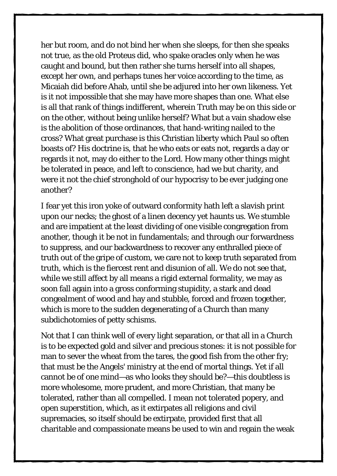her but room, and do not bind her when she sleeps, for then she speaks not true, as the old Proteus did, who spake oracles only when he was caught and bound, but then rather she turns herself into all shapes, except her own, and perhaps tunes her voice according to the time, as Micaiah did before Ahab, until she be adjured into her own likeness. Yet is it not impossible that she may have more shapes than one. What else is all that rank of things indifferent, wherein Truth may be on this side or on the other, without being unlike herself? What but a vain shadow else is the abolition of those ordinances, that hand-writing nailed to the cross? What great purchase is this Christian liberty which Paul so often boasts of? His doctrine is, that he who eats or eats not, regards a day or regards it not, may do either to the Lord. How many other things might be tolerated in peace, and left to conscience, had we but charity, and were it not the chief stronghold of our hypocrisy to be ever judging one another?

I fear yet this iron yoke of outward conformity hath left a slavish print upon our necks; the ghost of a linen decency yet haunts us. We stumble and are impatient at the least dividing of one visible congregation from another, though it be not in fundamentals; and through our forwardness to suppress, and our backwardness to recover any enthralled piece of truth out of the gripe of custom, we care not to keep truth separated from truth, which is the fiercest rent and disunion of all. We do not see that, while we still affect by all means a rigid external formality, we may as soon fall again into a gross conforming stupidity, a stark and dead congealment of wood and hay and stubble, forced and frozen together, which is more to the sudden degenerating of a Church than many subdichotomies of petty schisms.

Not that I can think well of every light separation, or that all in a Church is to be expected gold and silver and precious stones: it is not possible for man to sever the wheat from the tares, the good fish from the other fry; that must be the Angels' ministry at the end of mortal things. Yet if all cannot be of one mind—as who looks they should be?—this doubtless is more wholesome, more prudent, and more Christian, that many be tolerated, rather than all compelled. I mean not tolerated popery, and open superstition, which, as it extirpates all religions and civil supremacies, so itself should be extirpate, provided first that all charitable and compassionate means be used to win and regain the weak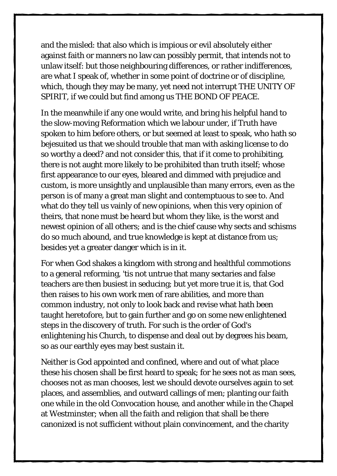and the misled: that also which is impious or evil absolutely either against faith or manners no law can possibly permit, that intends not to unlaw itself: but those neighbouring differences, or rather indifferences, are what I speak of, whether in some point of doctrine or of discipline, which, though they may be many, yet need not interrupt THE UNITY OF SPIRIT, if we could but find among us THE BOND OF PEACE.

In the meanwhile if any one would write, and bring his helpful hand to the slow-moving Reformation which we labour under, if Truth have spoken to him before others, or but seemed at least to speak, who hath so bejesuited us that we should trouble that man with asking license to do so worthy a deed? and not consider this, that if it come to prohibiting, there is not aught more likely to be prohibited than truth itself; whose first appearance to our eyes, bleared and dimmed with prejudice and custom, is more unsightly and unplausible than many errors, even as the person is of many a great man slight and contemptuous to see to. And what do they tell us vainly of new opinions, when this very opinion of theirs, that none must be heard but whom they like, is the worst and newest opinion of all others; and is the chief cause why sects and schisms do so much abound, and true knowledge is kept at distance from us; besides yet a greater danger which is in it.

For when God shakes a kingdom with strong and healthful commotions to a general reforming, 'tis not untrue that many sectaries and false teachers are then busiest in seducing; but yet more true it is, that God then raises to his own work men of rare abilities, and more than common industry, not only to look back and revise what hath been taught heretofore, but to gain further and go on some new enlightened steps in the discovery of truth. For such is the order of God's enlightening his Church, to dispense and deal out by degrees his beam, so as our earthly eyes may best sustain it.

Neither is God appointed and confined, where and out of what place these his chosen shall be first heard to speak; for he sees not as man sees, chooses not as man chooses, lest we should devote ourselves again to set places, and assemblies, and outward callings of men; planting our faith one while in the old Convocation house, and another while in the Chapel at Westminster; when all the faith and religion that shall be there canonized is not sufficient without plain convincement, and the charity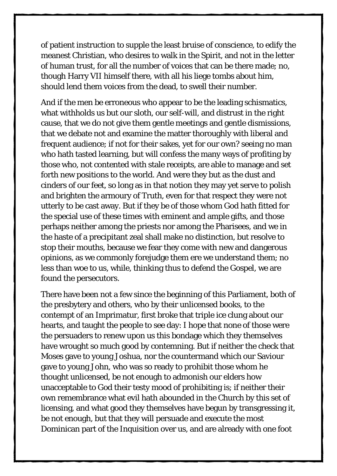of patient instruction to supple the least bruise of conscience, to edify the meanest Christian, who desires to walk in the Spirit, and not in the letter of human trust, for all the number of voices that can be there made; no, though Harry VII himself there, with all his liege tombs about him, should lend them voices from the dead, to swell their number.

And if the men be erroneous who appear to be the leading schismatics, what withholds us but our sloth, our self-will, and distrust in the right cause, that we do not give them gentle meetings and gentle dismissions, that we debate not and examine the matter thoroughly with liberal and frequent audience; if not for their sakes, yet for our own? seeing no man who hath tasted learning, but will confess the many ways of profiting by those who, not contented with stale receipts, are able to manage and set forth new positions to the world. And were they but as the dust and cinders of our feet, so long as in that notion they may yet serve to polish and brighten the armoury of Truth, even for that respect they were not utterly to be cast away. But if they be of those whom God hath fitted for the special use of these times with eminent and ample gifts, and those perhaps neither among the priests nor among the Pharisees, and we in the haste of a precipitant zeal shall make no distinction, but resolve to stop their mouths, because we fear they come with new and dangerous opinions, as we commonly forejudge them ere we understand them; no less than woe to us, while, thinking thus to defend the Gospel, we are found the persecutors.

There have been not a few since the beginning of this Parliament, both of the presbytery and others, who by their unlicensed books, to the contempt of an Imprimatur, first broke that triple ice clung about our hearts, and taught the people to see day: I hope that none of those were the persuaders to renew upon us this bondage which they themselves have wrought so much good by contemning. But if neither the check that Moses gave to young Joshua, nor the countermand which our Saviour gave to young John, who was so ready to prohibit those whom he thought unlicensed, be not enough to admonish our elders how unacceptable to God their testy mood of prohibiting is; if neither their own remembrance what evil hath abounded in the Church by this set of licensing, and what good they themselves have begun by transgressing it, be not enough, but that they will persuade and execute the most Dominican part of the Inquisition over us, and are already with one foot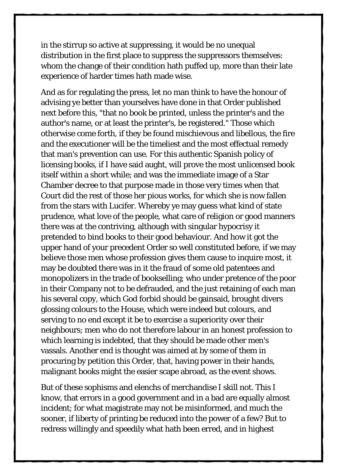in the stirrup so active at suppressing, it would be no unequal distribution in the first place to suppress the suppressors themselves: whom the change of their condition hath puffed up, more than their late experience of harder times hath made wise.

And as for regulating the press, let no man think to have the honour of advising ye better than yourselves have done in that Order published next before this, "that no book be printed, unless the printer's and the author's name, or at least the printer's, be registered." Those which otherwise come forth, if they be found mischievous and libellous, the fire and the executioner will be the timeliest and the most effectual remedy that man's prevention can use. For this authentic Spanish policy of licensing books, if I have said aught, will prove the most unlicensed book itself within a short while; and was the immediate image of a Star Chamber decree to that purpose made in those very times when that Court did the rest of those her pious works, for which she is now fallen from the stars with Lucifer. Whereby ye may guess what kind of state prudence, what love of the people, what care of religion or good manners there was at the contriving, although with singular hypocrisy it pretended to bind books to their good behaviour. And how it got the upper hand of your precedent Order so well constituted before, if we may believe those men whose profession gives them cause to inquire most, it may be doubted there was in it the fraud of some old patentees and monopolizers in the trade of bookselling; who under pretence of the poor in their Company not to be defrauded, and the just retaining of each man his several copy, which God forbid should be gainsaid, brought divers glossing colours to the House, which were indeed but colours, and serving to no end except it be to exercise a superiority over their neighbours; men who do not therefore labour in an honest profession to which learning is indebted, that they should be made other men's vassals. Another end is thought was aimed at by some of them in procuring by petition this Order, that, having power in their hands, malignant books might the easier scape abroad, as the event shows.

But of these sophisms and elenchs of merchandise I skill not. This I know, that errors in a good government and in a bad are equally almost incident; for what magistrate may not be misinformed, and much the sooner, if liberty of printing be reduced into the power of a few? But to redress willingly and speedily what hath been erred, and in highest